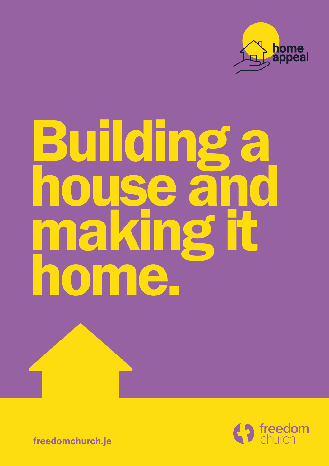

# Building a house and making it home.



freedomchurch.je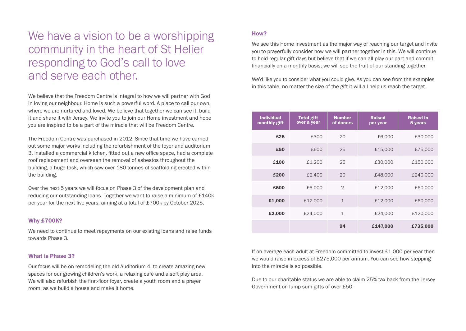We have a vision to be a worshipping community in the heart of St Helier responding to God's call to love and serve each other.

We believe that the Freedom Centre is integral to how we will partner with God in loving our neighbour. Home is such a powerful word. A place to call our own, where we are nurtured and loved. We believe that together we can see it, build it and share it with Jersey. We invite you to join our Home investment and hope you are inspired to be a part of the miracle that will be Freedom Centre.

The Freedom Centre was purchased in 2012. Since that time we have carried out some major works including the refurbishment of the foyer and auditorium 3, installed a commercial kitchen, fitted out a new office space, had a complete roof replacement and overseen the removal of asbestos throughout the building, a huge task, which saw over 180 tonnes of scaffolding erected within the building.

Over the next 5 years we will focus on Phase 3 of the development plan and reducing our outstanding loans. Together we want to raise a minimum of £140k per year for the next five years, aiming at a total of £700k by October 2025.

### Why £700K?

We need to continue to meet repayments on our existing loans and raise funds towards Phase 3.

# What is Phase 3?

Our focus will be on remodeling the old Auditorium 4, to create amazing new spaces for our growing children's work, a relaxing café and a soft play area. We will also refurbish the first-floor foyer, create a youth room and a prayer room, as we build a house and make it home.

# How?

We see this Home investment as the major way of reaching our target and invite you to prayerfully consider how we will partner together in this. We will continue to hold regular gift days but believe that if we can all play our part and commit financially on a monthly basis, we will see the fruit of our standing together.

We'd like you to consider what you could give. As you can see from the examples in this table, no matter the size of the gift it will all help us reach the target.

| <b>Individual</b><br>monthly gift | <b>Total gift</b><br>over a year | <b>Number</b><br>of donors | <b>Raised</b><br>per year | <b>Raised in</b><br>5 years |
|-----------------------------------|----------------------------------|----------------------------|---------------------------|-----------------------------|
| £25                               | £300                             | 20                         | £6,000                    | £30,000                     |
| £50                               | £600                             | 25                         | £15,000                   | £75,000                     |
| £100                              | £1,200                           | 25                         | £30,000                   | £150,000                    |
| £200                              | £2,400                           | 20                         | £48,000                   | £240,000                    |
| £500                              | £6,000                           | $\mathcal{D}$              | £12,000                   | £60,000                     |
| £1,000                            | £12,000                          | $\mathbf 1$                | £12,000                   | £60,000                     |
| £2,000                            | £24,000                          | $\mathbf{1}$               | £24,000                   | £120,000                    |
|                                   |                                  | 94                         | £147,000                  | £735,000                    |

If on average each adult at Freedom committed to invest £1,000 per year then we would raise in excess of £275,000 per annum. You can see how stepping into the miracle is so possible.

Due to our charitable status we are able to claim 25% tax back from the Jersey Government on lump sum gifts of over £50.